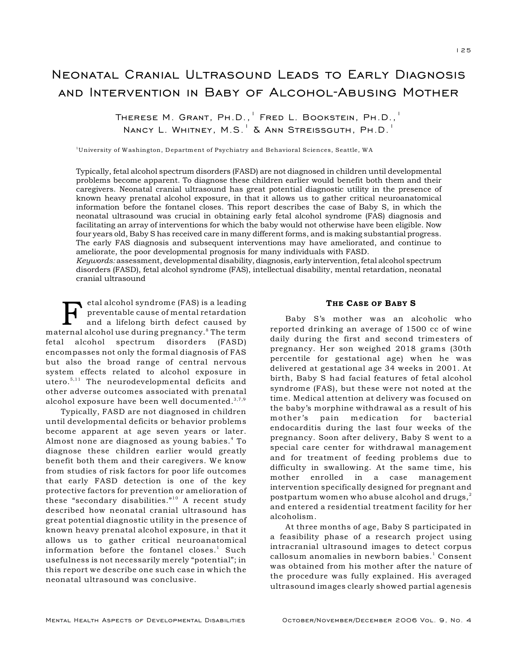## Neonatal Cranial Ultrasound Leads to Early Diagnosis and Intervention in Baby of Alcohol-Abusing Mother

THERESE M. GRANT, PH.D., FRED L. BOOKSTEIN, PH.D., NANCY L. WHITNEY,  $M.S.^{1}$  & ANN STREISSGUTH, PH.D.<sup>1</sup>

<sup>1</sup>University of Washington, Department of Psychiatry and Behavioral Sciences, Seattle, WA

Typically, fetal alcohol spectrum disorders (FASD) are not diagnosed in children until developmental problems become apparent. To diagnose these children earlier would benefit both them and their caregivers. Neonatal cranial ultrasound has great potential diagnostic utility in the presence of known heavy prenatal alcohol exposure, in that it allows us to gather critical neuroanatomical information before the fontanel closes. This report describes the case of Baby S, in which the neonatal ultrasound was crucial in obtaining early fetal alcohol syndrome (FAS) diagnosis and facilitating an array of interventions for which the baby would not otherwise have been eligible. Now four years old, Baby S has received care in many different forms, and is making substantial progress. The early FAS diagnosis and subsequent interventions may have ameliorated, and continue to ameliorate, the poor developmental prognosis for many individuals with FASD.

*Keywords:* assessment, developmental disability, diagnosis, early intervention, fetal alcohol spectrum disorders (FASD), fetal alcohol syndrome (FAS), intellectual disability, mental retardation, neonatal cranial ultrasound

F etal alcohol syndrome (FAS) is a leading preventable cause of mental retardation and a lifelong birth defect caused by maternal alcohol use during pregnancy.<sup>8</sup> The term fetal alcohol spectrum disorders (FASD) encompasses not only the formal diagnosis of FAS but also the broad range of central nervous system effects related to alcohol exposure in utero. $5,11$  The neurodevelopmental deficits and other adverse outcomes associated with prenatal alcohol exposure have been well documented. $3,7,9$ 

Typically, FASD are not diagnosed in children until developmental deficits or behavior problems become apparent at age seven years or later. Almost none are diagnosed as young babies.<sup>4</sup> To diagnose these children earlier would greatly benefit both them and their caregivers. We know from studies of risk factors for poor life outcomes that early FASD detection is one of the key protective factors for prevention or amelioration of these "secondary disabilities."<sup>10</sup> A recent study described how neonatal cranial ultrasound has great potential diagnostic utility in the presence of known heavy prenatal alcohol exposure, in that it allows us to gather critical neuroanatomical information before the fontanel closes. $<sup>1</sup>$  Such</sup> usefulness is not necessarily merely "potential"; in this report we describe one such case in which the neonatal ultrasound was conclusive.

## THE CASE OF BABY S

Baby S's mother was an alcoholic who reported drinking an average of 1500 cc of wine daily during the first and second trimesters of pregnancy. Her son weighed 2018 grams (30th percentile for gestational age) when he was delivered at gestational age 34 weeks in 2001. At birth, Baby S had facial features of fetal alcohol syndrome (FAS), but these were not noted at the time. Medical attention at delivery was focused on the baby's morphine withdrawal as a result of his mother's pain medication for bacterial endocarditis during the last four weeks of the pregnancy. Soon after delivery, Baby S went to a special care center for withdrawal management and for treatment of feeding problems due to difficulty in swallowing. At the same time, his mother enrolled in a case management intervention specifically designed for pregnant and postpartum women who abuse alcohol and drugs, $^2$ and entered a residential treatment facility for her alcoholism.

At three months of age, Baby S participated in a feasibility phase of a research project using intracranial ultrasound images to detect corpus callosum anomalies in newborn babies.<sup>1</sup> Consent was obtained from his mother after the nature of the procedure was fully explained. His averaged ultrasound images clearly showed partial agenesis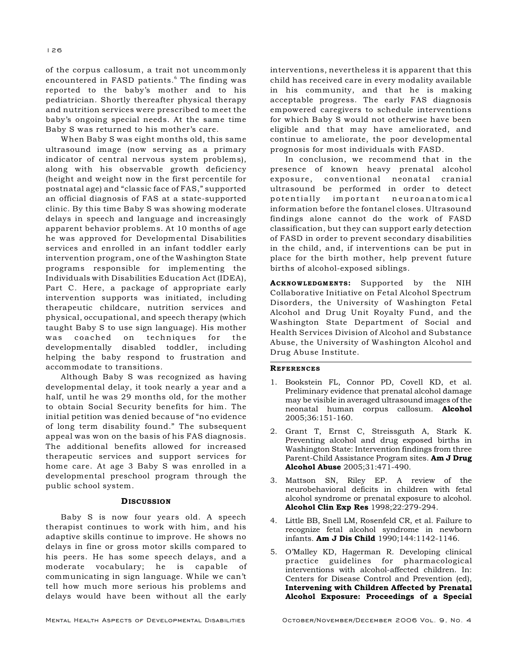of the corpus callosum, a trait not uncommonly encountered in FASD patients.<sup>6</sup> The finding was reported to the baby's mother and to his pediatrician. Shortly thereafter physical therapy and nutrition services were prescribed to meet the baby's ongoing special needs. At the same time Baby S was returned to his mother's care.

When Baby S was eight months old, this same ultrasound image (now serving as a primary indicator of central nervous system problems), along with his observable growth deficiency (height and weight now in the first percentile for postnatal age) and "classic face of FAS," supported an official diagnosis of FAS at a state-supported clinic. By this time Baby S was showing moderate delays in speech and language and increasingly apparent behavior problems. At 10 months of age he was approved for Developmental Disabilities services and enrolled in an infant toddler early intervention program, one of the Washington State programs responsible for implementing the Individuals with Disabilities Education Act (IDEA), Part C. Here, a package of appropriate early intervention supports was initiated, including therapeutic childcare, nutrition services and physical, occupational, and speech therapy (which taught Baby S to use sign language). His mother was coached on techniques for the developmentally disabled toddler, including helping the baby respond to frustration and accommodate to transitions.

Although Baby S was recognized as having developmental delay, it took nearly a year and a half, until he was 29 months old, for the mother to obtain Social Security benefits for him. The initial petition was denied because of "no evidence of long term disability found." The subsequent appeal was won on the basis of his FAS diagnosis. The additional benefits allowed for increased therapeutic services and support services for home care. At age 3 Baby S was enrolled in a developmental preschool program through the public school system.

## **DISCUSSION**

Baby S is now four years old. A speech therapist continues to work with him, and his adaptive skills continue to improve. He shows no delays in fine or gross motor skills compared to his peers. He has some speech delays, and a moderate vocabulary; he is capable of communicating in sign language. While we can't tell how much more serious his problems and delays would have been without all the early

Mental Health Aspects of Developmental Disabilities October/November/December 2006 Vol. 9, No. 4

interventions, nevertheless it is apparent that this child has received care in every modality available in his community, and that he is making acceptable progress. The early FAS diagnosis empowered caregivers to schedule interventions for which Baby S would not otherwise have been eligible and that may have ameliorated, and continue to ameliorate, the poor developmental prognosis for most individuals with FASD.

In conclusion, we recommend that in the presence of known heavy prenatal alcohol exposure, conventional neonatal cranial ultrasound be performed in order to detect potentially important neuroanatomical information before the fontanel closes. Ultrasound findings alone cannot do the work of FASD classification, but they can support early detection of FASD in order to prevent secondary disabilities in the child, and, if interventions can be put in place for the birth mother, help prevent future births of alcohol-exposed siblings.

ACKNOWLEDGMENTS: Supported by the NIH Collaborative Initiative on Fetal Alcohol Spectrum Disorders, the University of Washington Fetal Alcohol and Drug Unit Royalty Fund, and the Washington State Department of Social and Health Services Division of Alcohol and Substance Abuse, the University of Washington Alcohol and Drug Abuse Institute.

## **REFERENCES**

- 1. Bookstein FL, Connor PD, Covell KD, et al. Preliminary evidence that prenatal alcohol damage may be visible in averaged ultrasound images of the neonatal human corpus callosum. Alcohol 2005;36:151-160.
- 2. Grant T, Ernst C, Streissguth A, Stark K. Preventing alcohol and drug exposed births in Washington State: Intervention findings from three Parent-Child Assistance Program sites. Am J Drug Alcohol Abuse 2005;31:471-490.
- 3. Mattson SN, Riley EP. A review of the neurobehavioral deficits in children with fetal alcohol syndrome or prenatal exposure to alcohol. Alcohol Clin Exp Res 1998;22:279-294.
- 4. Little BB, Snell LM, Rosenfeld CR, et al. Failure to recognize fetal alcohol syndrome in newborn infants. Am J Dis Child 1990;144:1142-1146.
- 5. O'Malley KD, Hagerman R. Developing clinical practice guidelines for pharmacological interventions with alcohol-affected children. In: Centers for Disease Control and Prevention (ed), Intervening with Children Affected by Prenatal Alcohol Exposure: Proceedings of a Special